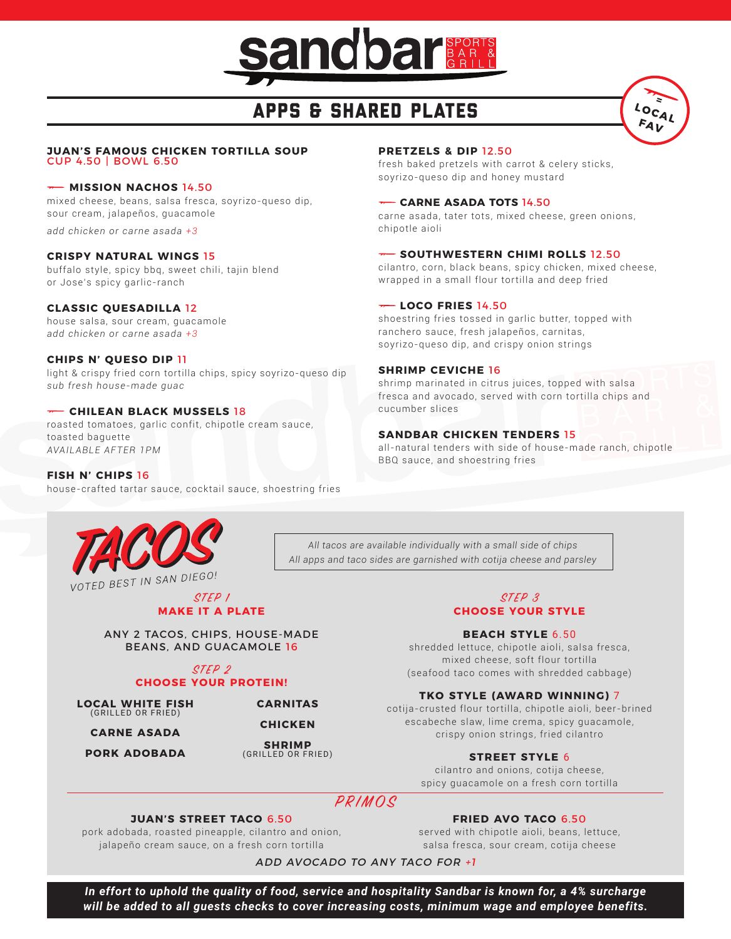

# APPS & SHARED PLATES



#### **JUAN'S FAMOUS CHICKEN TORTILLA SOUP**  CUP 4.50 | BOWL 6.50

#### **MISSION NACHOS** 14.50

mixed cheese, beans, salsa fresca, soyrizo-queso dip, sour cream, jalapeños, guacamole

*add chicken or carne asada +3*

#### **CRISPY NATURAL WINGS** 15

buffalo style, spicy bbq, sweet chili, tajin blend or Jose's spicy garlic-ranch

#### **CLASSIC QUESADILLA** 12

house salsa, sour cream, guacamole *add chicken or carne asada +3*

#### **CHIPS N' QUESO DIP** 11

light & crispy fried corn tortilla chips, spicy soyrizo-queso dip *sub fresh house-made guac*

#### **CHILEAN BLACK MUSSELS** 18

roasted tomatoes, garlic confit, chipotle cream sauce, toasted baguette *AVAILABLE AFTER 1PM*

#### **FISH N' CHIPS** 16

house-crafted tartar sauce, cocktail sauce, shoestring fries



*All apps and taco sides are garnished with cotija cheese and parsley*

*All tacos are available individually with a small side of chips*

#### STEP 1 **MAKE IT A PLATE**

ANY 2 TACOS, CHIPS, HOUSE-MADE BEANS, AND GUACAMOLE 16

#### STEP 2 **CHOOSE YOUR PROTEIN!**

**LOCAL WHITE FISH**  (GRILLED OR FRIED)

**CARNE ASADA**

**PORK ADOBADA**

**CHICKEN SHRIMP**

**CARNITAS**

(GRILLED OR FRIED)

#### **PRETZELS & DIP** 12.50

fresh baked pretzels with carrot & celery sticks, soyrizo-queso dip and honey mustard

#### **CARNE ASADA TOTS** 14.50

carne asada, tater tots, mixed cheese, green onions, chipotle aioli

#### **Fournal Southwestern Chimi Rolls 12.50**

cilantro, corn, black beans, spicy chicken, mixed cheese, wrapped in a small flour tortilla and deep fried

#### **LOCO FRIES** 14.50

shoestring fries tossed in garlic butter, topped with ranchero sauce, fresh jalapeños, carnitas, soyrizo-queso dip, and crispy onion strings

#### **SHRIMP CEVICHE** 16

shrimp marinated in citrus juices, topped with salsa fresca and avocado, served with corn tortilla chips and cucumber slices

#### **SANDBAR CHICKEN TENDERS** 15

all-natural tenders with side of house-made ranch, chipotle BBQ sauce, and shoestring fries

#### STEP 3 **CHOOSE YOUR STYLE**

#### **BEACH STYLE** 6.50

shredded lettuce, chipotle aioli, salsa fresca, mixed cheese, soft flour tortilla (seafood taco comes with shredded cabbage)

#### **TKO STYLE (AWARD WINNING)** 7

cotija-crusted flour tortilla, chipotle aioli, beer-brined escabeche slaw, lime crema, spicy guacamole, crispy onion strings, fried cilantro

#### **STREET STYLE** 6

cilantro and onions, cotija cheese, spicy guacamole on a fresh corn tortilla

### PRIMOS

#### **JUAN'S STREET TACO** 6.50

pork adobada, roasted pineapple, cilantro and onion, jalapeño cream sauce, on a fresh corn tortilla

**FRIED AVO TACO** 6.50

served with chipotle aioli, beans, lettuce, salsa fresca, sour cream, cotija cheese

ADD AVOCADO TO ANY TACO FOR +1

*In effort to uphold the quality of food, service and hospitality Sandbar is known for, a 4% surcharge will be added to all guests checks to cover increasing costs, minimum wage and employee benefits.*